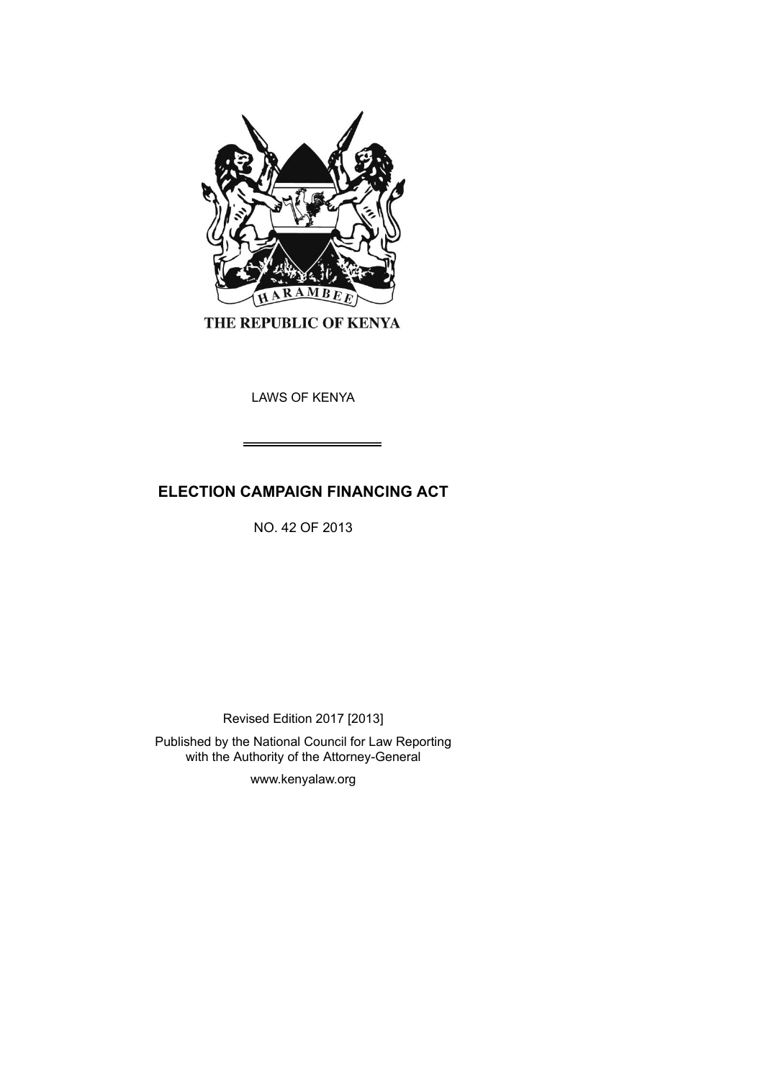

THE REPUBLIC OF KENYA

LAWS OF KENYA

# **ELECTION CAMPAIGN FINANCING ACT**

NO. 42 OF 2013

Revised Edition 2017 [2013]

Published by the National Council for Law Reporting with the Authority of the Attorney-General

www.kenyalaw.org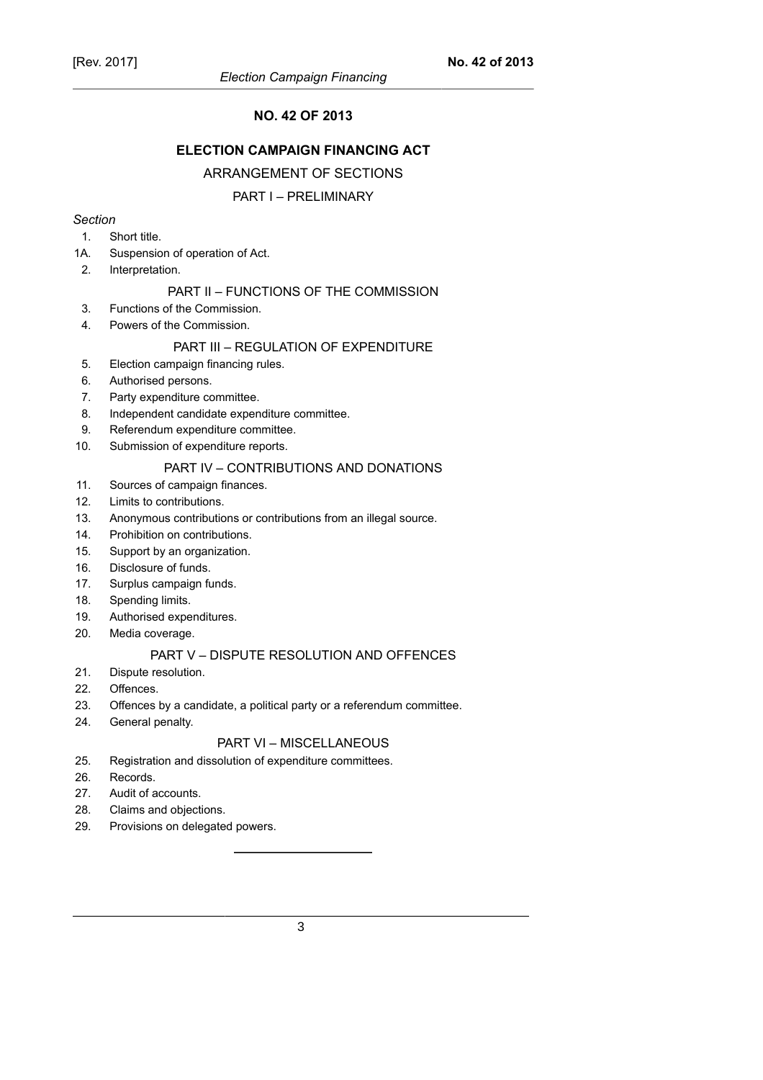# **NO. 42 OF 2013**

# **ELECTION CAMPAIGN FINANCING ACT**

# ARRANGEMENT OF SECTIONS

### PART I – PRELIMINARY

### *Section*

- 1. Short title.
- 1A. Suspension of operation of Act.
- 2. Interpretation.

### PART II – FUNCTIONS OF THE COMMISSION

- 3. Functions of the Commission.
- 4. Powers of the Commission.

# PART III – REGULATION OF EXPENDITURE

- 5. Election campaign financing rules.
- 6. Authorised persons.
- 7. Party expenditure committee.
- 8. Independent candidate expenditure committee.
- 9. Referendum expenditure committee.
- 10. Submission of expenditure reports.

# PART IV – CONTRIBUTIONS AND DONATIONS

- 11. Sources of campaign finances.
- 12. Limits to contributions.
- 13. Anonymous contributions or contributions from an illegal source.
- 14. Prohibition on contributions.
- 15. Support by an organization.
- 16. Disclosure of funds.
- 17. Surplus campaign funds.
- 18. Spending limits.
- 19. Authorised expenditures.
- 20. Media coverage.

# PART V – DISPUTE RESOLUTION AND OFFENCES

- 21. Dispute resolution.
- 22. Offences.
- 23. Offences by a candidate, a political party or a referendum committee.
- 24. General penalty.

# PART VI – MISCELLANEOUS

- 25. Registration and dissolution of expenditure committees.
- 26. Records.
- 27. Audit of accounts.
- 28. Claims and objections.
- 29. Provisions on delegated powers.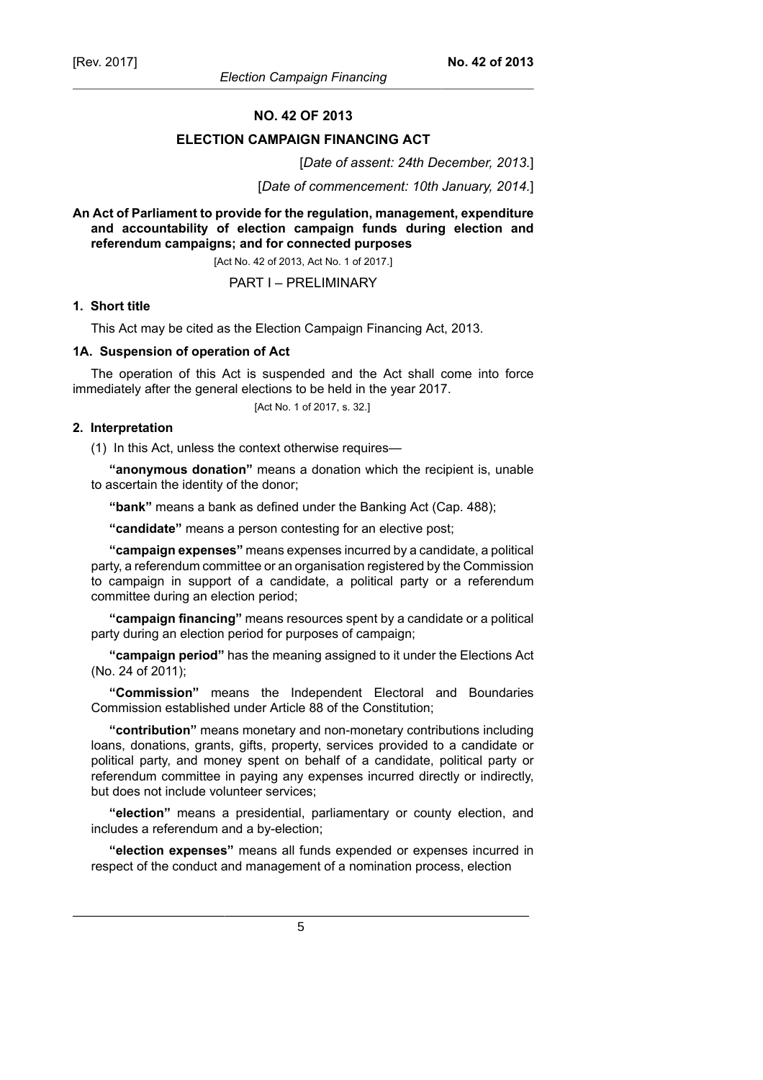#### **NO. 42 OF 2013**

#### **ELECTION CAMPAIGN FINANCING ACT**

[*Date of assent: 24th December, 2013.*]

[*Date of commencement: 10th January, 2014.*]

**An Act of Parliament to provide for the regulation, management, expenditure and accountability of election campaign funds during election and referendum campaigns; and for connected purposes**

[Act No. 42 of 2013, Act No. 1 of 2017.]

PART I – PRELIMINARY

#### **1. Short title**

This Act may be cited as the Election Campaign Financing Act, 2013.

#### **1A. Suspension of operation of Act**

The operation of this Act is suspended and the Act shall come into force immediately after the general elections to be held in the year 2017.

[Act No. 1 of 2017, s. 32.]

### **2. Interpretation**

(1) In this Act, unless the context otherwise requires—

**"anonymous donation"** means a donation which the recipient is, unable to ascertain the identity of the donor;

**"bank"** means a bank as defined under the Banking Act (Cap. 488);

**"candidate"** means a person contesting for an elective post;

**"campaign expenses"** means expenses incurred by a candidate, a political party, a referendum committee or an organisation registered by the Commission to campaign in support of a candidate, a political party or a referendum committee during an election period;

**"campaign financing"** means resources spent by a candidate or a political party during an election period for purposes of campaign;

**"campaign period"** has the meaning assigned to it under the Elections Act (No. 24 of 2011);

**"Commission"** means the Independent Electoral and Boundaries Commission established under Article 88 of the Constitution;

**"contribution"** means monetary and non-monetary contributions including loans, donations, grants, gifts, property, services provided to a candidate or political party, and money spent on behalf of a candidate, political party or referendum committee in paying any expenses incurred directly or indirectly, but does not include volunteer services;

**"election"** means a presidential, parliamentary or county election, and includes a referendum and a by-election;

**"election expenses"** means all funds expended or expenses incurred in respect of the conduct and management of a nomination process, election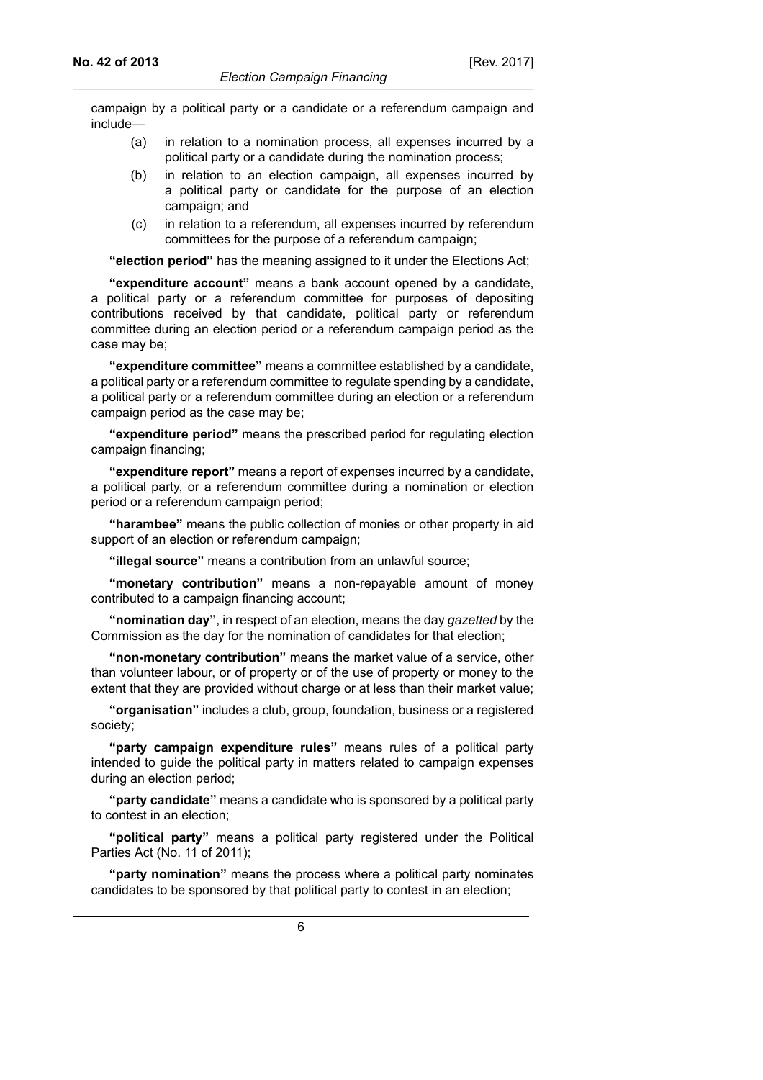campaign by a political party or a candidate or a referendum campaign and include—

- (a) in relation to a nomination process, all expenses incurred by a political party or a candidate during the nomination process;
- (b) in relation to an election campaign, all expenses incurred by a political party or candidate for the purpose of an election campaign; and
- (c) in relation to a referendum, all expenses incurred by referendum committees for the purpose of a referendum campaign;

**"election period"** has the meaning assigned to it under the Elections Act;

**"expenditure account"** means a bank account opened by a candidate, a political party or a referendum committee for purposes of depositing contributions received by that candidate, political party or referendum committee during an election period or a referendum campaign period as the case may be;

**"expenditure committee"** means a committee established by a candidate, a political party or a referendum committee to regulate spending by a candidate, a political party or a referendum committee during an election or a referendum campaign period as the case may be;

**"expenditure period"** means the prescribed period for regulating election campaign financing;

**"expenditure report"** means a report of expenses incurred by a candidate, a political party, or a referendum committee during a nomination or election period or a referendum campaign period;

**"harambee"** means the public collection of monies or other property in aid support of an election or referendum campaign;

**"illegal source"** means a contribution from an unlawful source;

**"monetary contribution"** means a non-repayable amount of money contributed to a campaign financing account;

**"nomination day"**, in respect of an election, means the day *gazetted* by the Commission as the day for the nomination of candidates for that election;

**"non-monetary contribution"** means the market value of a service, other than volunteer labour, or of property or of the use of property or money to the extent that they are provided without charge or at less than their market value;

**"organisation"** includes a club, group, foundation, business or a registered society;

**"party campaign expenditure rules"** means rules of a political party intended to guide the political party in matters related to campaign expenses during an election period;

**"party candidate"** means a candidate who is sponsored by a political party to contest in an election;

**"political party"** means a political party registered under the Political Parties Act (No. 11 of 2011);

**"party nomination"** means the process where a political party nominates candidates to be sponsored by that political party to contest in an election;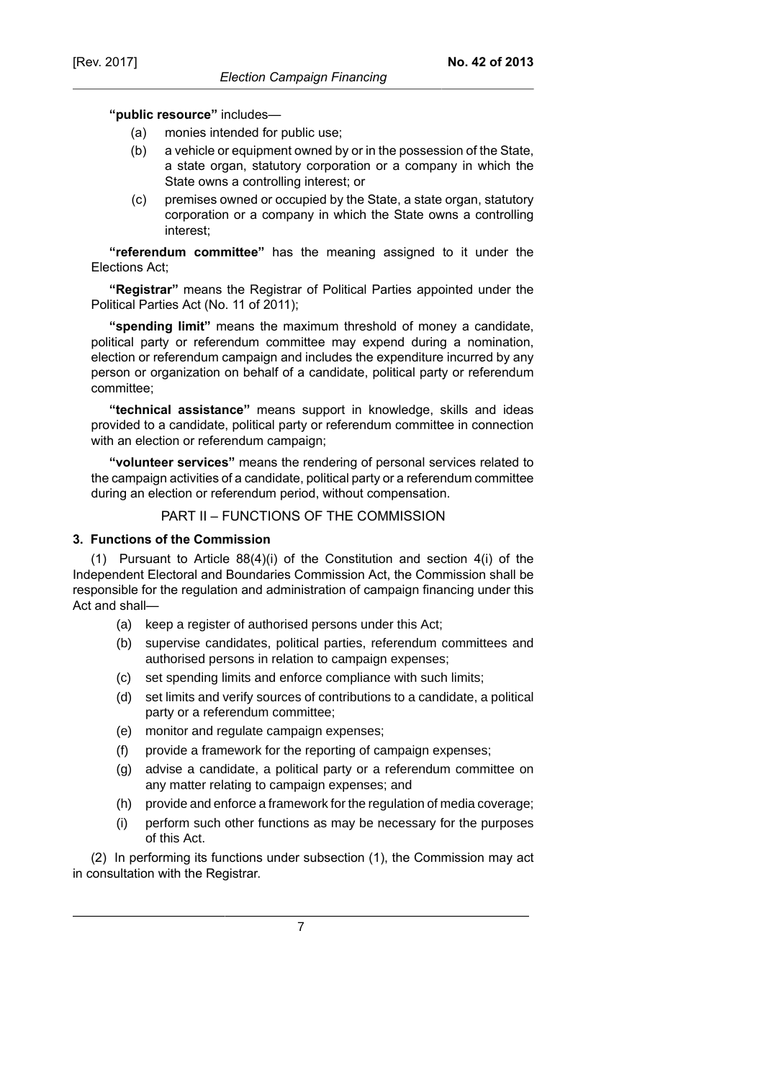### **"public resource"** includes—

- (a) monies intended for public use;
- (b) a vehicle or equipment owned by or in the possession of the State, a state organ, statutory corporation or a company in which the State owns a controlling interest; or
- (c) premises owned or occupied by the State, a state organ, statutory corporation or a company in which the State owns a controlling interest;

**"referendum committee"** has the meaning assigned to it under the Elections Act;

**"Registrar"** means the Registrar of Political Parties appointed under the Political Parties Act (No. 11 of 2011);

**"spending limit"** means the maximum threshold of money a candidate, political party or referendum committee may expend during a nomination, election or referendum campaign and includes the expenditure incurred by any person or organization on behalf of a candidate, political party or referendum committee;

**"technical assistance"** means support in knowledge, skills and ideas provided to a candidate, political party or referendum committee in connection with an election or referendum campaign;

**"volunteer services"** means the rendering of personal services related to the campaign activities of a candidate, political party or a referendum committee during an election or referendum period, without compensation.

# PART II – FUNCTIONS OF THE COMMISSION

# **3. Functions of the Commission**

(1) Pursuant to Article 88(4)(i) of the Constitution and section 4(i) of the Independent Electoral and Boundaries Commission Act, the Commission shall be responsible for the regulation and administration of campaign financing under this Act and shall—

- (a) keep a register of authorised persons under this Act;
- (b) supervise candidates, political parties, referendum committees and authorised persons in relation to campaign expenses;
- (c) set spending limits and enforce compliance with such limits;
- (d) set limits and verify sources of contributions to a candidate, a political party or a referendum committee;
- (e) monitor and regulate campaign expenses;
- (f) provide a framework for the reporting of campaign expenses;
- (g) advise a candidate, a political party or a referendum committee on any matter relating to campaign expenses; and
- (h) provide and enforce a framework for the regulation of media coverage;
- (i) perform such other functions as may be necessary for the purposes of this Act.

(2) In performing its functions under subsection (1), the Commission may act in consultation with the Registrar.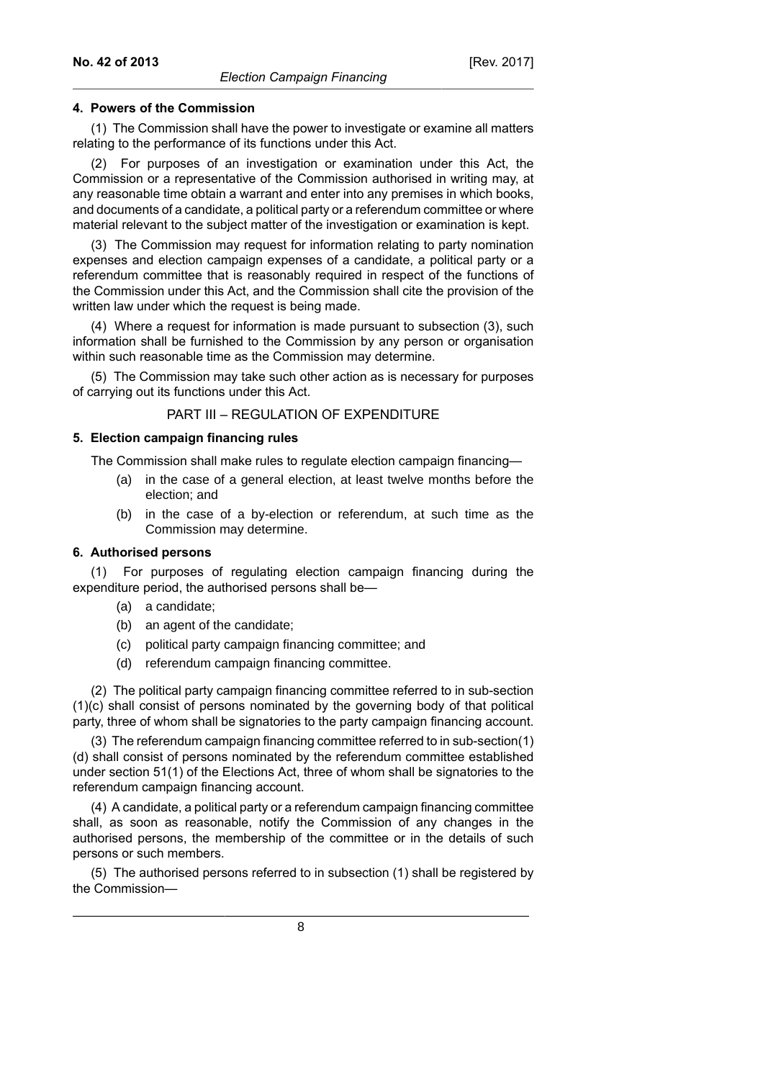### **4. Powers of the Commission**

(1) The Commission shall have the power to investigate or examine all matters relating to the performance of its functions under this Act.

(2) For purposes of an investigation or examination under this Act, the Commission or a representative of the Commission authorised in writing may, at any reasonable time obtain a warrant and enter into any premises in which books, and documents of a candidate, a political party or a referendum committee or where material relevant to the subject matter of the investigation or examination is kept.

(3) The Commission may request for information relating to party nomination expenses and election campaign expenses of a candidate, a political party or a referendum committee that is reasonably required in respect of the functions of the Commission under this Act, and the Commission shall cite the provision of the written law under which the request is being made.

(4) Where a request for information is made pursuant to subsection (3), such information shall be furnished to the Commission by any person or organisation within such reasonable time as the Commission may determine.

(5) The Commission may take such other action as is necessary for purposes of carrying out its functions under this Act.

# PART III – REGULATION OF EXPENDITURE

#### **5. Election campaign financing rules**

The Commission shall make rules to regulate election campaign financing—

- (a) in the case of a general election, at least twelve months before the election; and
- (b) in the case of a by-election or referendum, at such time as the Commission may determine.

### **6. Authorised persons**

For purposes of regulating election campaign financing during the expenditure period, the authorised persons shall be-

- (a) a candidate;
- (b) an agent of the candidate;
- (c) political party campaign financing committee; and
- (d) referendum campaign financing committee.

(2) The political party campaign financing committee referred to in sub-section (1)(c) shall consist of persons nominated by the governing body of that political party, three of whom shall be signatories to the party campaign financing account.

(3) The referendum campaign financing committee referred to in sub-section(1) (d) shall consist of persons nominated by the referendum committee established under section 51(1) of the Elections Act, three of whom shall be signatories to the referendum campaign financing account.

(4) A candidate, a political party or a referendum campaign financing committee shall, as soon as reasonable, notify the Commission of any changes in the authorised persons, the membership of the committee or in the details of such persons or such members.

(5) The authorised persons referred to in subsection (1) shall be registered by the Commission—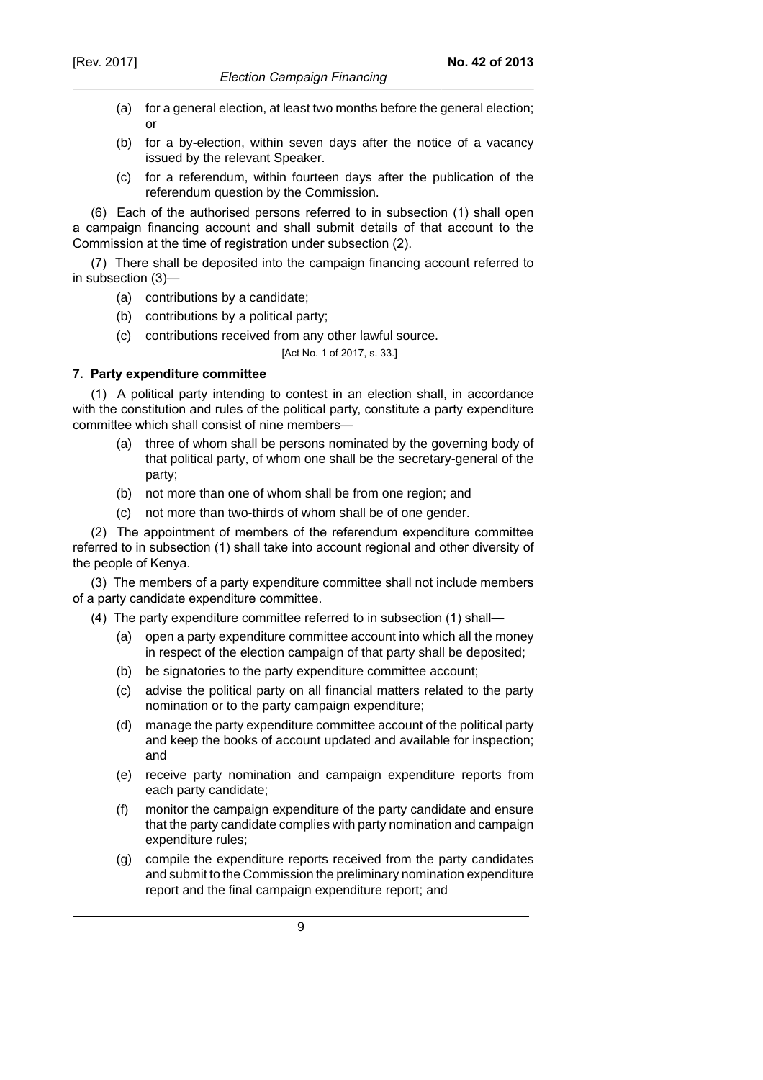- (a) for a general election, at least two months before the general election; or
- (b) for a by-election, within seven days after the notice of a vacancy issued by the relevant Speaker.
- (c) for a referendum, within fourteen days after the publication of the referendum question by the Commission.

(6) Each of the authorised persons referred to in subsection (1) shall open a campaign financing account and shall submit details of that account to the Commission at the time of registration under subsection (2).

(7) There shall be deposited into the campaign financing account referred to in subsection (3)—

- (a) contributions by a candidate;
- (b) contributions by a political party;
- (c) contributions received from any other lawful source.

[Act No. 1 of 2017, s. 33.]

# **7. Party expenditure committee**

(1) A political party intending to contest in an election shall, in accordance with the constitution and rules of the political party, constitute a party expenditure committee which shall consist of nine members—

- (a) three of whom shall be persons nominated by the governing body of that political party, of whom one shall be the secretary-general of the party;
- (b) not more than one of whom shall be from one region; and
- (c) not more than two-thirds of whom shall be of one gender.

(2) The appointment of members of the referendum expenditure committee referred to in subsection (1) shall take into account regional and other diversity of the people of Kenya.

(3) The members of a party expenditure committee shall not include members of a party candidate expenditure committee.

- (4) The party expenditure committee referred to in subsection (1) shall—
	- (a) open a party expenditure committee account into which all the money in respect of the election campaign of that party shall be deposited;
	- (b) be signatories to the party expenditure committee account;
	- (c) advise the political party on all financial matters related to the party nomination or to the party campaign expenditure;
	- (d) manage the party expenditure committee account of the political party and keep the books of account updated and available for inspection; and
	- (e) receive party nomination and campaign expenditure reports from each party candidate;
	- (f) monitor the campaign expenditure of the party candidate and ensure that the party candidate complies with party nomination and campaign expenditure rules;
	- (g) compile the expenditure reports received from the party candidates and submit to the Commission the preliminary nomination expenditure report and the final campaign expenditure report; and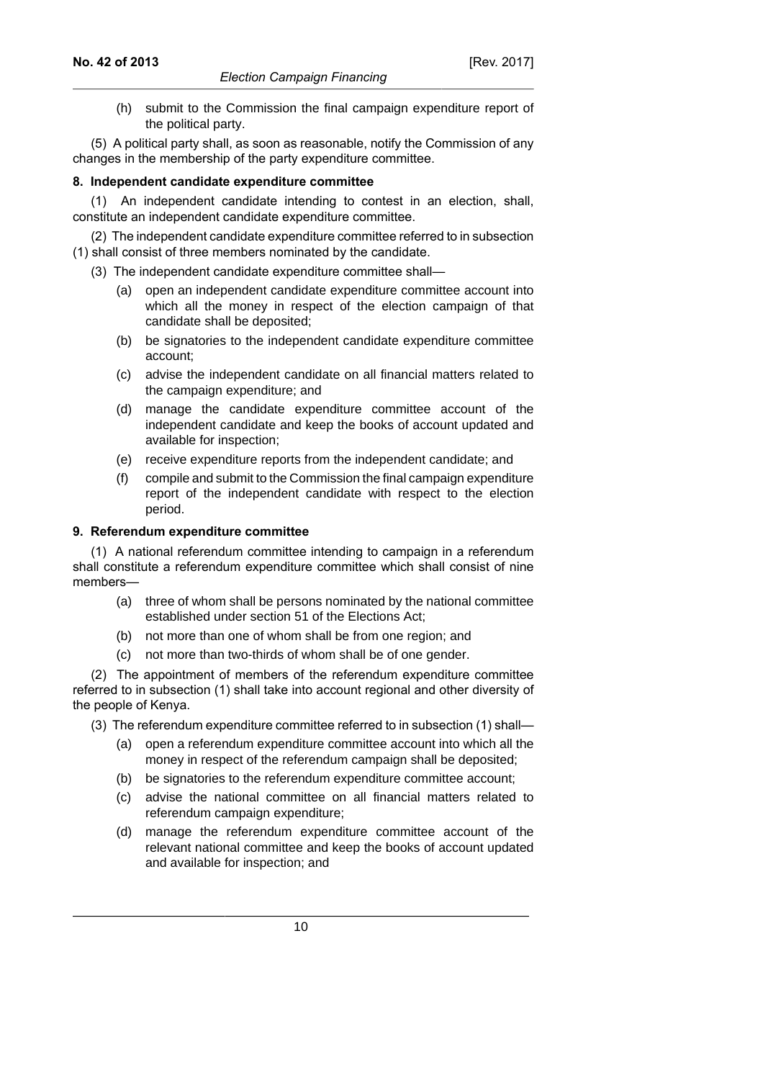(h) submit to the Commission the final campaign expenditure report of the political party.

(5) A political party shall, as soon as reasonable, notify the Commission of any changes in the membership of the party expenditure committee.

# **8. Independent candidate expenditure committee**

(1) An independent candidate intending to contest in an election, shall, constitute an independent candidate expenditure committee.

(2) The independent candidate expenditure committee referred to in subsection (1) shall consist of three members nominated by the candidate.

- (3) The independent candidate expenditure committee shall—
	- (a) open an independent candidate expenditure committee account into which all the money in respect of the election campaign of that candidate shall be deposited;
	- (b) be signatories to the independent candidate expenditure committee account;
	- (c) advise the independent candidate on all financial matters related to the campaign expenditure; and
	- (d) manage the candidate expenditure committee account of the independent candidate and keep the books of account updated and available for inspection;
	- (e) receive expenditure reports from the independent candidate; and
	- (f) compile and submit to the Commission the final campaign expenditure report of the independent candidate with respect to the election period.

# **9. Referendum expenditure committee**

(1) A national referendum committee intending to campaign in a referendum shall constitute a referendum expenditure committee which shall consist of nine members—

- (a) three of whom shall be persons nominated by the national committee established under section 51 of the Elections Act;
- (b) not more than one of whom shall be from one region; and
- (c) not more than two-thirds of whom shall be of one gender.

(2) The appointment of members of the referendum expenditure committee referred to in subsection (1) shall take into account regional and other diversity of the people of Kenya.

- (3) The referendum expenditure committee referred to in subsection (1) shall—
	- (a) open a referendum expenditure committee account into which all the money in respect of the referendum campaign shall be deposited;
	- (b) be signatories to the referendum expenditure committee account;
	- (c) advise the national committee on all financial matters related to referendum campaign expenditure;
	- (d) manage the referendum expenditure committee account of the relevant national committee and keep the books of account updated and available for inspection; and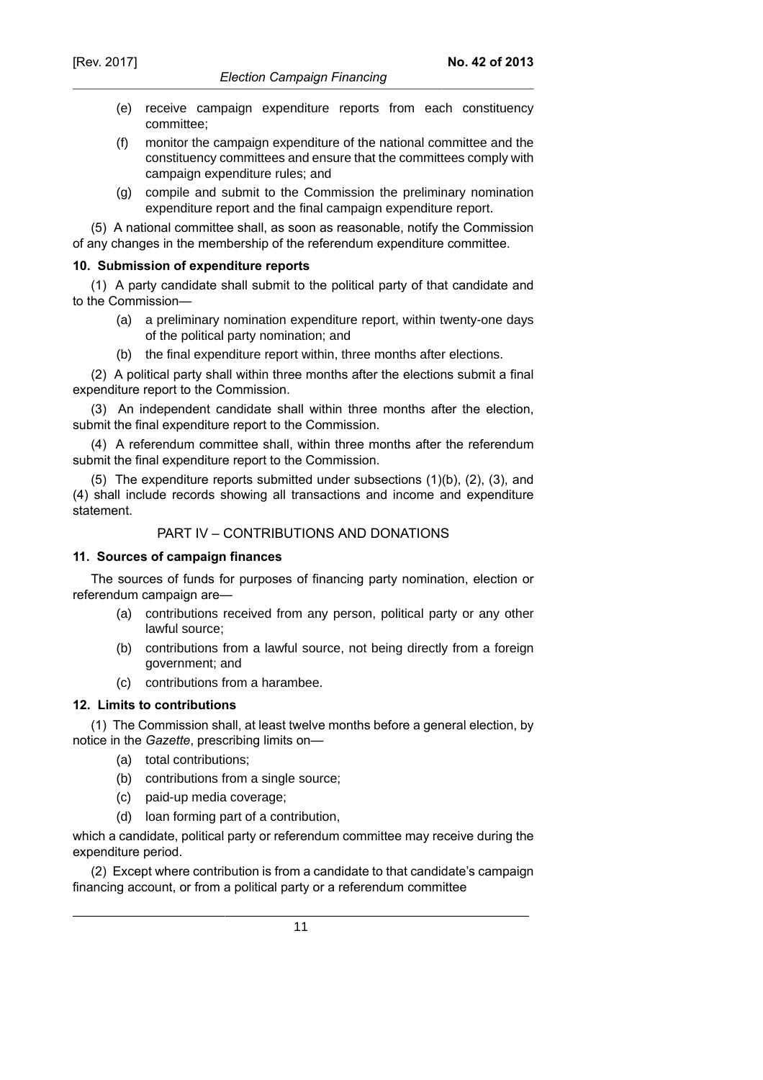- (e) receive campaign expenditure reports from each constituency committee;
- (f) monitor the campaign expenditure of the national committee and the constituency committees and ensure that the committees comply with campaign expenditure rules; and
- (g) compile and submit to the Commission the preliminary nomination expenditure report and the final campaign expenditure report.

(5) A national committee shall, as soon as reasonable, notify the Commission of any changes in the membership of the referendum expenditure committee.

#### **10. Submission of expenditure reports**

(1) A party candidate shall submit to the political party of that candidate and to the Commission—

- (a) a preliminary nomination expenditure report, within twenty-one days of the political party nomination; and
- (b) the final expenditure report within, three months after elections.

(2) A political party shall within three months after the elections submit a final expenditure report to the Commission.

(3) An independent candidate shall within three months after the election, submit the final expenditure report to the Commission.

(4) A referendum committee shall, within three months after the referendum submit the final expenditure report to the Commission.

(5) The expenditure reports submitted under subsections (1)(b), (2), (3), and (4) shall include records showing all transactions and income and expenditure statement.

## PART IV – CONTRIBUTIONS AND DONATIONS

#### **11. Sources of campaign finances**

The sources of funds for purposes of financing party nomination, election or referendum campaign are—

- (a) contributions received from any person, political party or any other lawful source;
- (b) contributions from a lawful source, not being directly from a foreign government; and
- (c) contributions from a harambee.

### **12. Limits to contributions**

(1) The Commission shall, at least twelve months before a general election, by notice in the *Gazette*, prescribing limits on—

- (a) total contributions;
- (b) contributions from a single source;
- (c) paid-up media coverage;
- (d) loan forming part of a contribution,

which a candidate, political party or referendum committee may receive during the expenditure period.

(2) Except where contribution is from a candidate to that candidate's campaign financing account, or from a political party or a referendum committee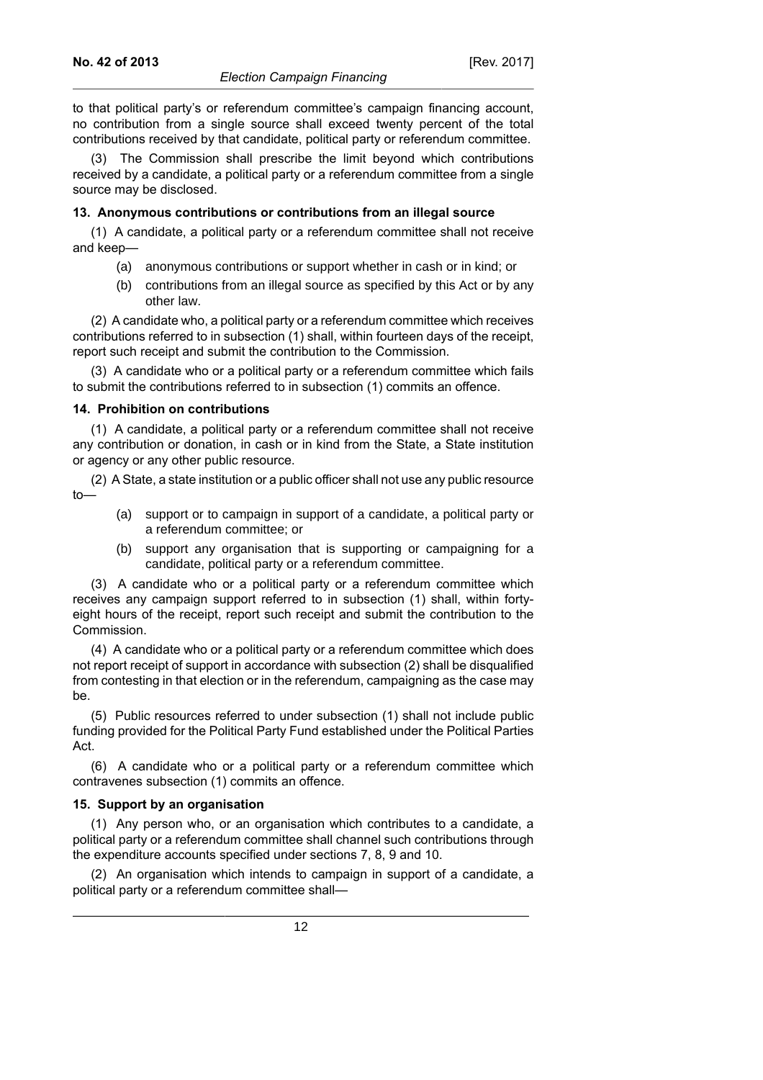to that political party's or referendum committee's campaign financing account, no contribution from a single source shall exceed twenty percent of the total contributions received by that candidate, political party or referendum committee.

(3) The Commission shall prescribe the limit beyond which contributions received by a candidate, a political party or a referendum committee from a single source may be disclosed.

# **13. Anonymous contributions or contributions from an illegal source**

(1) A candidate, a political party or a referendum committee shall not receive and keep—

- (a) anonymous contributions or support whether in cash or in kind; or
- (b) contributions from an illegal source as specified by this Act or by any other law.

(2) A candidate who, a political party or a referendum committee which receives contributions referred to in subsection (1) shall, within fourteen days of the receipt, report such receipt and submit the contribution to the Commission.

(3) A candidate who or a political party or a referendum committee which fails to submit the contributions referred to in subsection (1) commits an offence.

# **14. Prohibition on contributions**

(1) A candidate, a political party or a referendum committee shall not receive any contribution or donation, in cash or in kind from the State, a State institution or agency or any other public resource.

(2) A State, a state institution or a public officer shall not use any public resource to—

- (a) support or to campaign in support of a candidate, a political party or a referendum committee; or
- (b) support any organisation that is supporting or campaigning for a candidate, political party or a referendum committee.

(3) A candidate who or a political party or a referendum committee which receives any campaign support referred to in subsection (1) shall, within fortyeight hours of the receipt, report such receipt and submit the contribution to the Commission.

(4) A candidate who or a political party or a referendum committee which does not report receipt of support in accordance with subsection (2) shall be disqualified from contesting in that election or in the referendum, campaigning as the case may be.

(5) Public resources referred to under subsection (1) shall not include public funding provided for the Political Party Fund established under the Political Parties Act.

(6) A candidate who or a political party or a referendum committee which contravenes subsection (1) commits an offence.

# **15. Support by an organisation**

(1) Any person who, or an organisation which contributes to a candidate, a political party or a referendum committee shall channel such contributions through the expenditure accounts specified under sections 7, 8, 9 and 10.

(2) An organisation which intends to campaign in support of a candidate, a political party or a referendum committee shall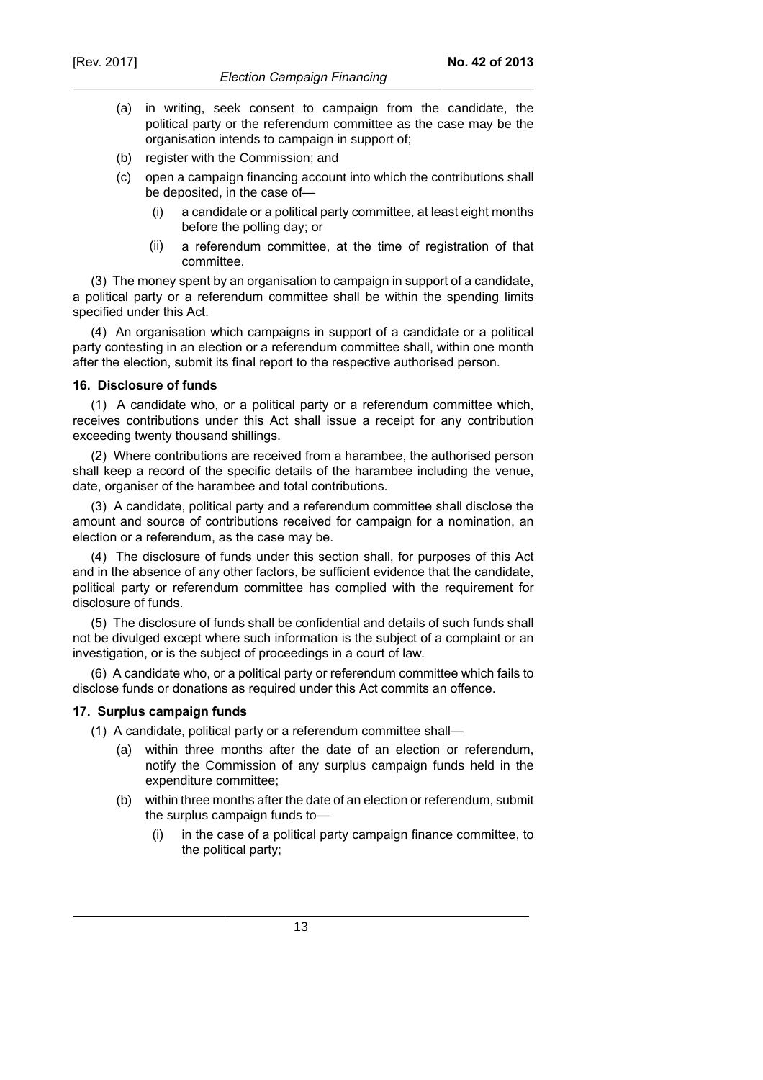(a) in writing, seek consent to campaign from the candidate, the political party or the referendum committee as the case may be the organisation intends to campaign in support of;

**No. 42 of 2013**

- (b) register with the Commission; and
- (c) open a campaign financing account into which the contributions shall be deposited, in the case of—
	- (i) a candidate or a political party committee, at least eight months before the polling day; or
	- (ii) a referendum committee, at the time of registration of that committee.

(3) The money spent by an organisation to campaign in support of a candidate, a political party or a referendum committee shall be within the spending limits specified under this Act.

(4) An organisation which campaigns in support of a candidate or a political party contesting in an election or a referendum committee shall, within one month after the election, submit its final report to the respective authorised person.

# **16. Disclosure of funds**

(1) A candidate who, or a political party or a referendum committee which, receives contributions under this Act shall issue a receipt for any contribution exceeding twenty thousand shillings.

(2) Where contributions are received from a harambee, the authorised person shall keep a record of the specific details of the harambee including the venue, date, organiser of the harambee and total contributions.

(3) A candidate, political party and a referendum committee shall disclose the amount and source of contributions received for campaign for a nomination, an election or a referendum, as the case may be.

(4) The disclosure of funds under this section shall, for purposes of this Act and in the absence of any other factors, be sufficient evidence that the candidate, political party or referendum committee has complied with the requirement for disclosure of funds.

(5) The disclosure of funds shall be confidential and details of such funds shall not be divulged except where such information is the subject of a complaint or an investigation, or is the subject of proceedings in a court of law.

(6) A candidate who, or a political party or referendum committee which fails to disclose funds or donations as required under this Act commits an offence.

# **17. Surplus campaign funds**

- (1) A candidate, political party or a referendum committee shall—
	- (a) within three months after the date of an election or referendum, notify the Commission of any surplus campaign funds held in the expenditure committee;
	- (b) within three months after the date of an election or referendum, submit the surplus campaign funds to—
		- (i) in the case of a political party campaign finance committee, to the political party;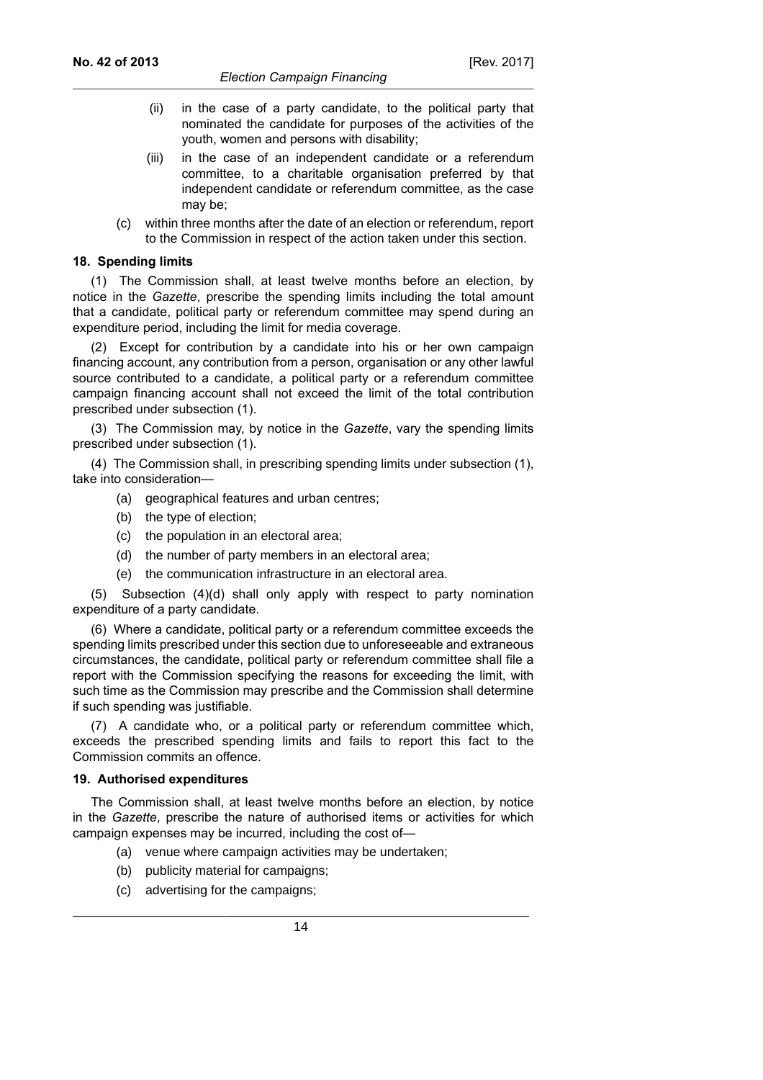- (ii) in the case of a party candidate, to the political party that nominated the candidate for purposes of the activities of the youth, women and persons with disability;
- (iii) in the case of an independent candidate or a referendum committee, to a charitable organisation preferred by that independent candidate or referendum committee, as the case may be;
- (c) within three months after the date of an election or referendum, report to the Commission in respect of the action taken under this section.

### **18. Spending limits**

(1) The Commission shall, at least twelve months before an election, by notice in the *Gazette*, prescribe the spending limits including the total amount that a candidate, political party or referendum committee may spend during an expenditure period, including the limit for media coverage.

(2) Except for contribution by a candidate into his or her own campaign financing account, any contribution from a person, organisation or any other lawful source contributed to a candidate, a political party or a referendum committee campaign financing account shall not exceed the limit of the total contribution prescribed under subsection (1).

(3) The Commission may, by notice in the *Gazette*, vary the spending limits prescribed under subsection (1).

(4) The Commission shall, in prescribing spending limits under subsection (1), take into consideration—

- (a) geographical features and urban centres;
- (b) the type of election;
- (c) the population in an electoral area;
- (d) the number of party members in an electoral area;
- (e) the communication infrastructure in an electoral area.

(5) Subsection (4)(d) shall only apply with respect to party nomination expenditure of a party candidate.

(6) Where a candidate, political party or a referendum committee exceeds the spending limits prescribed under this section due to unforeseeable and extraneous circumstances, the candidate, political party or referendum committee shall file a report with the Commission specifying the reasons for exceeding the limit, with such time as the Commission may prescribe and the Commission shall determine if such spending was justifiable.

(7) A candidate who, or a political party or referendum committee which, exceeds the prescribed spending limits and fails to report this fact to the Commission commits an offence.

### **19. Authorised expenditures**

The Commission shall, at least twelve months before an election, by notice in the *Gazette*, prescribe the nature of authorised items or activities for which campaign expenses may be incurred, including the cost of—

- (a) venue where campaign activities may be undertaken;
- (b) publicity material for campaigns;
- (c) advertising for the campaigns;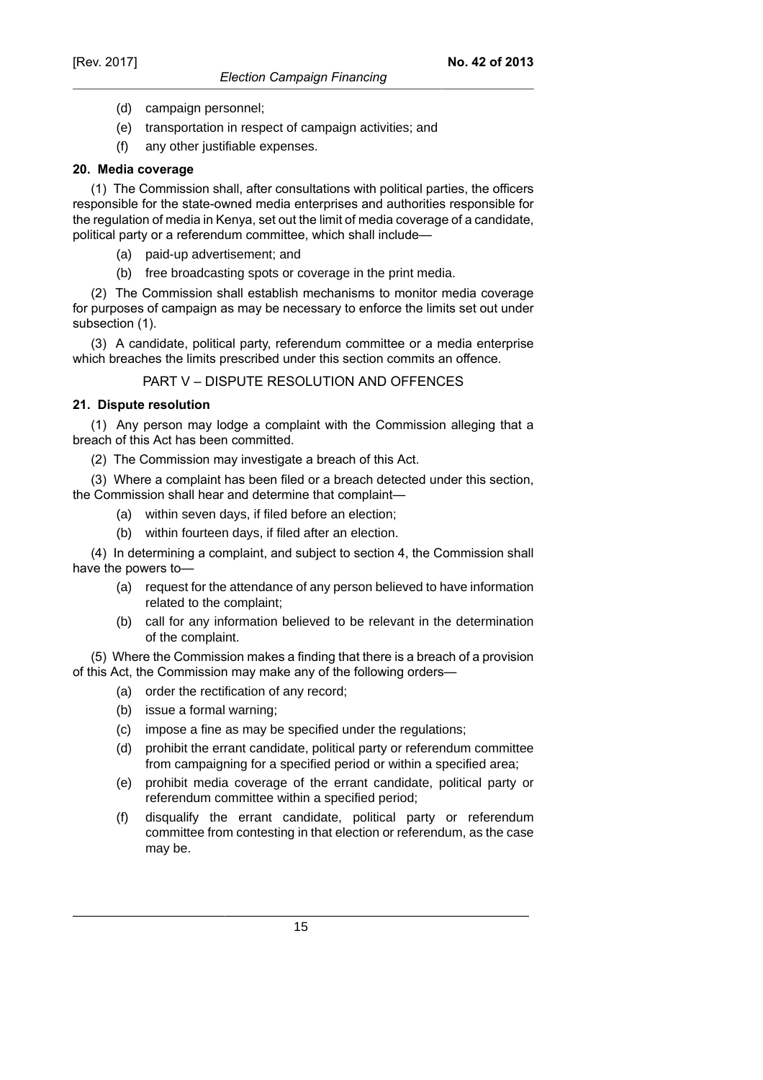- (d) campaign personnel;
- (e) transportation in respect of campaign activities; and
- (f) any other justifiable expenses.

# **20. Media coverage**

(1) The Commission shall, after consultations with political parties, the officers responsible for the state-owned media enterprises and authorities responsible for the regulation of media in Kenya, set out the limit of media coverage of a candidate, political party or a referendum committee, which shall include—

- (a) paid-up advertisement; and
- (b) free broadcasting spots or coverage in the print media.

(2) The Commission shall establish mechanisms to monitor media coverage for purposes of campaign as may be necessary to enforce the limits set out under subsection (1).

(3) A candidate, political party, referendum committee or a media enterprise which breaches the limits prescribed under this section commits an offence.

PART V – DISPUTE RESOLUTION AND OFFENCES

# **21. Dispute resolution**

(1) Any person may lodge a complaint with the Commission alleging that a breach of this Act has been committed.

(2) The Commission may investigate a breach of this Act.

(3) Where a complaint has been filed or a breach detected under this section, the Commission shall hear and determine that complaint—

- (a) within seven days, if filed before an election;
- (b) within fourteen days, if filed after an election.

(4) In determining a complaint, and subject to section 4, the Commission shall have the powers to—

- (a) request for the attendance of any person believed to have information related to the complaint;
- (b) call for any information believed to be relevant in the determination of the complaint.

(5) Where the Commission makes a finding that there is a breach of a provision of this Act, the Commission may make any of the following orders—

- (a) order the rectification of any record;
- (b) issue a formal warning;
- (c) impose a fine as may be specified under the regulations;
- (d) prohibit the errant candidate, political party or referendum committee from campaigning for a specified period or within a specified area;
- (e) prohibit media coverage of the errant candidate, political party or referendum committee within a specified period;
- (f) disqualify the errant candidate, political party or referendum committee from contesting in that election or referendum, as the case may be.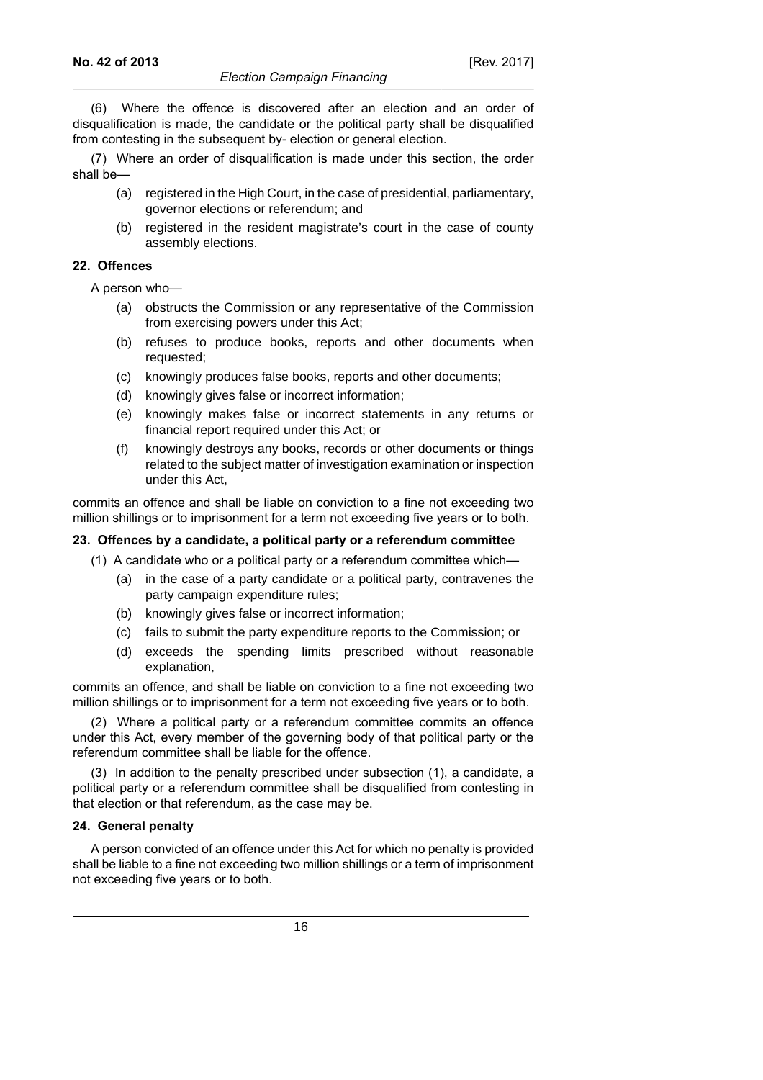(6) Where the offence is discovered after an election and an order of disqualification is made, the candidate or the political party shall be disqualified from contesting in the subsequent by- election or general election.

(7) Where an order of disqualification is made under this section, the order shall be—

- (a) registered in the High Court, in the case of presidential, parliamentary, governor elections or referendum; and
- (b) registered in the resident magistrate's court in the case of county assembly elections.

### **22. Offences**

A person who—

- (a) obstructs the Commission or any representative of the Commission from exercising powers under this Act;
- (b) refuses to produce books, reports and other documents when requested;
- (c) knowingly produces false books, reports and other documents;
- (d) knowingly gives false or incorrect information;
- (e) knowingly makes false or incorrect statements in any returns or financial report required under this Act; or
- (f) knowingly destroys any books, records or other documents or things related to the subject matter of investigation examination or inspection under this Act,

commits an offence and shall be liable on conviction to a fine not exceeding two million shillings or to imprisonment for a term not exceeding five years or to both.

# **23. Offences by a candidate, a political party or a referendum committee**

(1) A candidate who or a political party or a referendum committee which—

- (a) in the case of a party candidate or a political party, contravenes the party campaign expenditure rules;
- (b) knowingly gives false or incorrect information;
- (c) fails to submit the party expenditure reports to the Commission; or
- (d) exceeds the spending limits prescribed without reasonable explanation,

commits an offence, and shall be liable on conviction to a fine not exceeding two million shillings or to imprisonment for a term not exceeding five years or to both.

(2) Where a political party or a referendum committee commits an offence under this Act, every member of the governing body of that political party or the referendum committee shall be liable for the offence.

(3) In addition to the penalty prescribed under subsection (1), a candidate, a political party or a referendum committee shall be disqualified from contesting in that election or that referendum, as the case may be.

### **24. General penalty**

A person convicted of an offence under this Act for which no penalty is provided shall be liable to a fine not exceeding two million shillings or a term of imprisonment not exceeding five years or to both.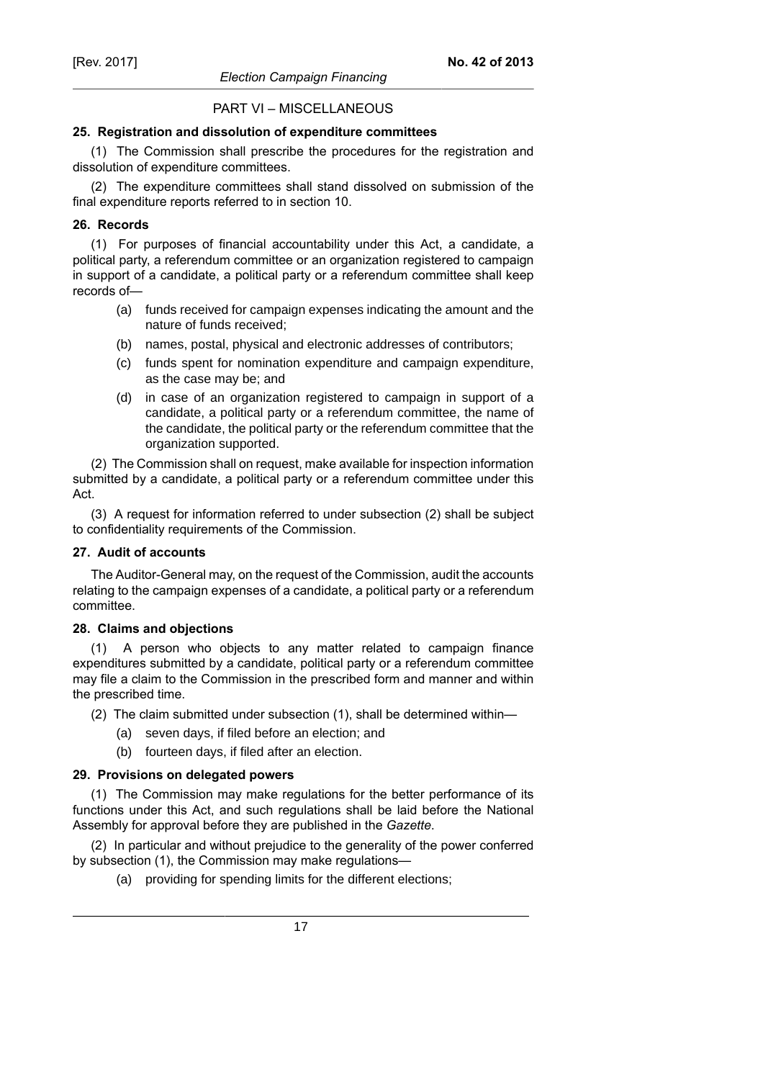# PART VI – MISCELLANEOUS

### **25. Registration and dissolution of expenditure committees**

(1) The Commission shall prescribe the procedures for the registration and dissolution of expenditure committees.

(2) The expenditure committees shall stand dissolved on submission of the final expenditure reports referred to in section 10.

### **26. Records**

(1) For purposes of financial accountability under this Act, a candidate, a political party, a referendum committee or an organization registered to campaign in support of a candidate, a political party or a referendum committee shall keep records of—

- (a) funds received for campaign expenses indicating the amount and the nature of funds received;
- (b) names, postal, physical and electronic addresses of contributors;
- (c) funds spent for nomination expenditure and campaign expenditure, as the case may be; and
- (d) in case of an organization registered to campaign in support of a candidate, a political party or a referendum committee, the name of the candidate, the political party or the referendum committee that the organization supported.

(2) The Commission shall on request, make available for inspection information submitted by a candidate, a political party or a referendum committee under this Act.

(3) A request for information referred to under subsection (2) shall be subject to confidentiality requirements of the Commission.

### **27. Audit of accounts**

The Auditor-General may, on the request of the Commission, audit the accounts relating to the campaign expenses of a candidate, a political party or a referendum committee.

### **28. Claims and objections**

(1) A person who objects to any matter related to campaign finance expenditures submitted by a candidate, political party or a referendum committee may file a claim to the Commission in the prescribed form and manner and within the prescribed time.

- (2) The claim submitted under subsection (1), shall be determined within—
	- (a) seven days, if filed before an election; and
	- (b) fourteen days, if filed after an election.

### **29. Provisions on delegated powers**

(1) The Commission may make regulations for the better performance of its functions under this Act, and such regulations shall be laid before the National Assembly for approval before they are published in the *Gazette*.

(2) In particular and without prejudice to the generality of the power conferred by subsection (1), the Commission may make regulations—

(a) providing for spending limits for the different elections;